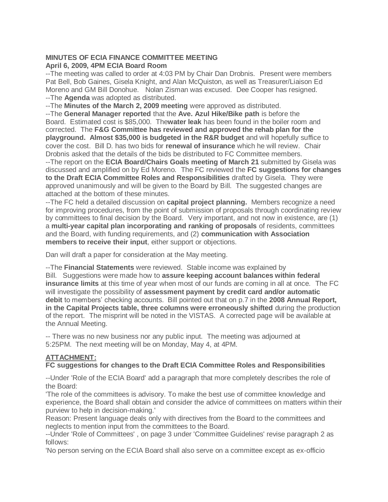## **MINUTES OF ECIA FINANCE COMMITTEE MEETING April 6, 2009, 4PM ECIA Board Room**

--The meeting was called to order at 4:03 PM by Chair Dan Drobnis. Present were members Pat Bell, Bob Gaines, Gisela Knight, and Alan McQuiston, as well as Treasurer/Liaison Ed Moreno and GM Bill Donohue. Nolan Zisman was excused. Dee Cooper has resigned. --The **Agenda** was adopted as distributed.

--The **Minutes of the March 2, 2009 meeting** were approved as distributed.

--The **General Manager reported** that the **Ave. Azul Hike/Bike path** is before the Board. Estimated cost is \$85,000. The**water leak** has been found in the boiler room and corrected. The **F&G Committee has reviewed and approved the rehab plan for the playground. Almost \$35,000 is budgeted in the R&R budget** and will hopefully suffice to cover the cost. Bill D. has two bids for **renewal of insurance** which he will review. Chair Drobnis asked that the details of the bids be distributed to FC Committee members.

--The report on the **ECIA Board/Chairs Goals meeting of March 21** submitted by Gisela was discussed and amplified on by Ed Moreno. The FC reviewed the **FC suggestions for changes to the Draft ECIA Committee Roles and Responsibilities** drafted by Gisela. They were approved unanimously and will be given to the Board by Bill. The suggested changes are attached at the bottom of these minutes.

--The FC held a detailed discussion on **capital project planning.** Members recognize a need for improving procedures, from the point of submission of proposals through coordinating review by committees to final decision by the Board. Very important, and not now in existence, are (1) a **multi-year capital plan incorporating and ranking of proposals** of residents, committees and the Board, with funding requirements, and (2) **communication with Association members to receive their input**, either support or objections.

Dan will draft a paper for consideration at the May meeting.

--The **Financial Statements** were reviewed. Stable income was explained by Bill. Suggestions were made how to **assure keeping account balances within federal insurance limits** at this time of year when most of our funds are coming in all at once. The FC will investigate the possibility of **assessment payment by credit card and/or automatic debit** to members' checking accounts. Bill pointed out that on p.7 in the **2008 Annual Report, in the Capital Projects table, three columns were erroneously shifted** during the production of the report. The misprint will be noted in the VISTAS. A corrected page will be available at the Annual Meeting.

-- There was no new business nor any public input. The meeting was adjourned at 5:25PM. The next meeting will be on Monday, May 4, at 4PM.

## **ATTACHMENT:**

## **FC suggestions for changes to the Draft ECIA Committee Roles and Responsibilities**

--Under 'Role of the ECIA Board' add a paragraph that more completely describes the role of the Board:

'The role of the committees is advisory. To make the best use of committee knowledge and experience, the Board shall obtain and consider the advice of committees on matters within their purview to help in decision-making.'

Reason: Present language deals only with directives from the Board to the committees and neglects to mention input from the committees to the Board.

--Under 'Role of Committees' , on page 3 under 'Committee Guidelines' revise paragraph 2 as follows:

'No person serving on the ECIA Board shall also serve on a committee except as ex-officio